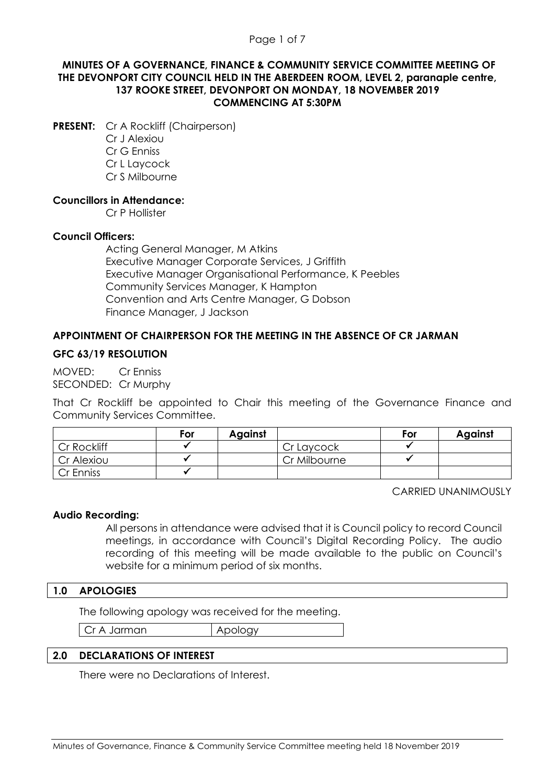### Page 1 of 7

### **MINUTES OF A GOVERNANCE, FINANCE & COMMUNITY SERVICE COMMITTEE MEETING OF THE DEVONPORT CITY COUNCIL HELD IN THE ABERDEEN ROOM, LEVEL 2, paranaple centre, 137 ROOKE STREET, DEVONPORT ON MONDAY, 18 NOVEMBER 2019 COMMENCING AT 5:30PM**

**PRESENT:** Cr A Rockliff (Chairperson)

Cr J Alexiou Cr G Enniss Cr L Laycock Cr S Milbourne

### **Councillors in Attendance:**

Cr P Hollister

### **Council Officers:**

Acting General Manager, M Atkins Executive Manager Corporate Services, J Griffith Executive Manager Organisational Performance, K Peebles Community Services Manager, K Hampton Convention and Arts Centre Manager, G Dobson Finance Manager, J Jackson

# **APPOINTMENT OF CHAIRPERSON FOR THE MEETING IN THE ABSENCE OF CR JARMAN**

### **GFC 63/19 RESOLUTION**

MOVED: Cr Enniss SECONDED: Cr Murphy

That Cr Rockliff be appointed to Chair this meeting of the Governance Finance and Community Services Committee.

|             | For | <b>Against</b> |              | For | <b>Against</b> |
|-------------|-----|----------------|--------------|-----|----------------|
| Cr Rockliff |     |                | Cr Laycock   |     |                |
| Cr Alexiou  |     |                | Cr Milbourne |     |                |
| Cr Enniss   |     |                |              |     |                |

CARRIED UNANIMOUSLY

### **Audio Recording:**

All persons in attendance were advised that it is Council policy to record Council meetings, in accordance with Council's Digital Recording Policy. The audio recording of this meeting will be made available to the public on Council's website for a minimum period of six months.

### **1.0 APOLOGIES**

The following apology was received for the meeting.

Cr A Jarman Apology

### **2.0 DECLARATIONS OF INTEREST**

There were no Declarations of Interest.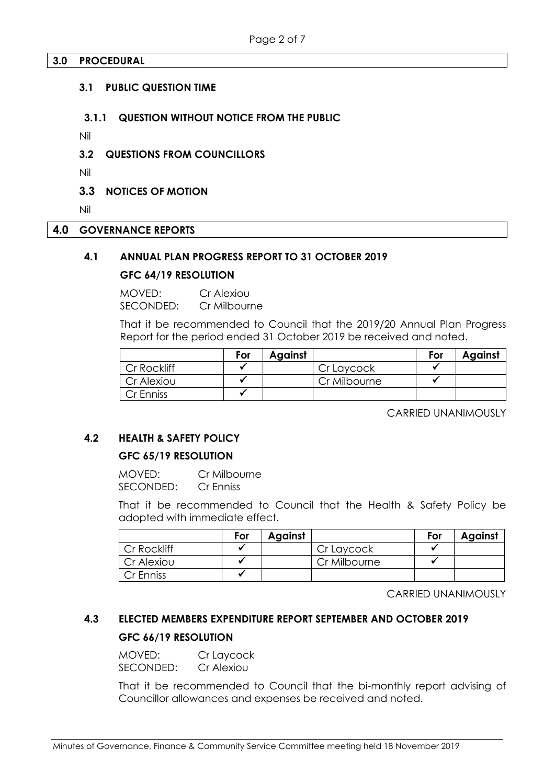### **3.0 PROCEDURAL**

### **3.1 PUBLIC QUESTION TIME**

### **3.1.1 QUESTION WITHOUT NOTICE FROM THE PUBLIC**

Nil

### **3.2 QUESTIONS FROM COUNCILLORS**

Nil

**3.3 NOTICES OF MOTION** 

Nil

#### **4.0 GOVERNANCE REPORTS**

### **4.1 ANNUAL PLAN PROGRESS REPORT TO 31 OCTOBER 2019**

### **GFC 64/19 RESOLUTION**

MOVED: Cr Alexiou SECONDED: Cr Milbourne

That it be recommended to Council that the 2019/20 Annual Plan Progress Report for the period ended 31 October 2019 be received and noted.

|             | For | Against |              | For | <b>Against</b> |
|-------------|-----|---------|--------------|-----|----------------|
| Cr Rockliff |     |         | Cr Laycock   |     |                |
| Cr Alexiou  |     |         | Cr Milbourne |     |                |
| Cr Enniss   |     |         |              |     |                |

CARRIED UNANIMOUSLY

# **4.2 HEALTH & SAFETY POLICY**

# **GFC 65/19 RESOLUTION**

MOVED: Cr Milbourne SECONDED: Cr Enniss

That it be recommended to Council that the Health & Safety Policy be adopted with immediate effect.

|             | For | Against |              | For | <b>Against</b> |
|-------------|-----|---------|--------------|-----|----------------|
| Cr Rockliff |     |         | Cr Laycock   |     |                |
| Cr Alexiou  |     |         | Cr Milbourne |     |                |
| Cr Enniss   |     |         |              |     |                |

CARRIED UNANIMOUSLY

# **4.3 ELECTED MEMBERS EXPENDITURE REPORT SEPTEMBER AND OCTOBER 2019 GFC 66/19 RESOLUTION**

# MOVED: Cr Laycock

SECONDED: Cr Alexiou

That it be recommended to Council that the bi-monthly report advising of Councillor allowances and expenses be received and noted.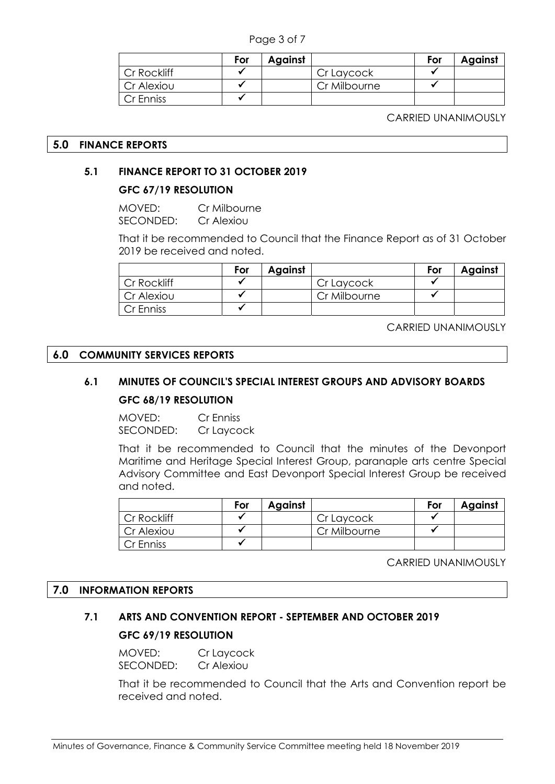Page 3 of 7

|             | For | Against |              | For | <b>Against</b> |
|-------------|-----|---------|--------------|-----|----------------|
| Cr Rockliff |     |         | Cr Laycock   |     |                |
| Cr Alexiou  |     |         | Cr Milbourne |     |                |
| Cr Enniss   |     |         |              |     |                |

CARRIED UNANIMOUSLY

### **5.0 FINANCE REPORTS**

# **5.1 FINANCE REPORT TO 31 OCTOBER 2019**

# **GFC 67/19 RESOLUTION**

MOVED: Cr Milbourne SECONDED: Cr Alexiou

That it be recommended to Council that the Finance Report as of 31 October 2019 be received and noted.

|             | For | <b>Against</b> |              | For | <b>Against</b> |
|-------------|-----|----------------|--------------|-----|----------------|
| Cr Rockliff |     |                | Cr Laycock   |     |                |
| Cr Alexiou  |     |                | Cr Milbourne |     |                |
| Cr Enniss   |     |                |              |     |                |

CARRIED UNANIMOUSLY

### **6.0 COMMUNITY SERVICES REPORTS**

# **6.1 MINUTES OF COUNCIL'S SPECIAL INTEREST GROUPS AND ADVISORY BOARDS GFC 68/19 RESOLUTION**

MOVED: Cr Enniss SECONDED: Cr Laycock

That it be recommended to Council that the minutes of the Devonport Maritime and Heritage Special Interest Group, paranaple arts centre Special Advisory Committee and East Devonport Special Interest Group be received and noted.

|             | For | Against |              | For | <b>Against</b> |
|-------------|-----|---------|--------------|-----|----------------|
| Cr Rockliff |     |         | Cr Laycock   |     |                |
| Cr Alexiou  |     |         | Cr Milbourne |     |                |
| Cr Enniss   |     |         |              |     |                |

CARRIED UNANIMOUSLY

### **7.0 INFORMATION REPORTS**

# **7.1 ARTS AND CONVENTION REPORT - SEPTEMBER AND OCTOBER 2019 GFC 69/19 RESOLUTION**

MOVED: Cr Laycock SECONDED: Cr Alexiou

That it be recommended to Council that the Arts and Convention report be received and noted.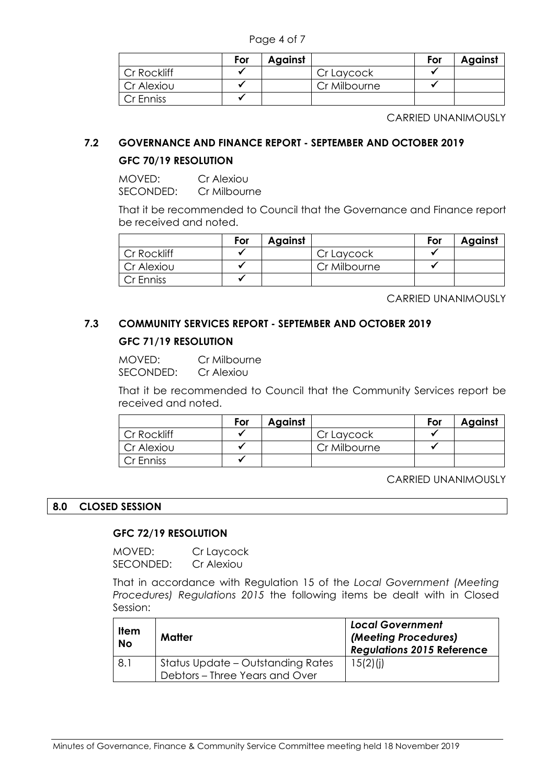Page 4 of 7

|             | For | <b>Against</b> |              | For | <b>Against</b> |
|-------------|-----|----------------|--------------|-----|----------------|
| Cr Rockliff |     |                | Cr Laycock   |     |                |
| Cr Alexiou  |     |                | Cr Milbourne |     |                |
| Cr Enniss   |     |                |              |     |                |

CARRIED UNANIMOUSLY

# **7.2 GOVERNANCE AND FINANCE REPORT - SEPTEMBER AND OCTOBER 2019**

# **GFC 70/19 RESOLUTION**

MOVED: Cr Alexiou SECONDED: Cr Milbourne

That it be recommended to Council that the Governance and Finance report be received and noted.

|             | For | Against |              | For | Against |
|-------------|-----|---------|--------------|-----|---------|
| Cr Rockliff |     |         | Cr Laycock   |     |         |
| Cr Alexiou  |     |         | Cr Milbourne |     |         |
| Cr Enniss   |     |         |              |     |         |

CARRIED UNANIMOUSLY

# **7.3 COMMUNITY SERVICES REPORT - SEPTEMBER AND OCTOBER 2019**

# **GFC 71/19 RESOLUTION**

MOVED: Cr Milbourne SECONDED: Cr Alexiou

That it be recommended to Council that the Community Services report be received and noted.

|             | For | Against |              | For | <b>Against</b> |
|-------------|-----|---------|--------------|-----|----------------|
| Cr Rockliff |     |         | Cr Laycock   |     |                |
| Cr Alexiou  |     |         | Cr Milbourne |     |                |
| Cr Enniss   |     |         |              |     |                |

CARRIED UNANIMOUSLY

# **8.0 CLOSED SESSION**

# **GFC 72/19 RESOLUTION**

MOVED: Cr Laycock SECONDED: Cr Alexiou

That in accordance with Regulation 15 of the *Local Government (Meeting Procedures) Regulations 2015* the following items be dealt with in Closed Session:

| <b>Item</b><br><b>No</b> | Matter                                                              | <b>Local Government</b><br>(Meeting Procedures)<br><b>Regulations 2015 Reference</b> |
|--------------------------|---------------------------------------------------------------------|--------------------------------------------------------------------------------------|
| 8.1                      | Status Update - Outstanding Rates<br>Debtors – Three Years and Over | 15(2)(i)                                                                             |